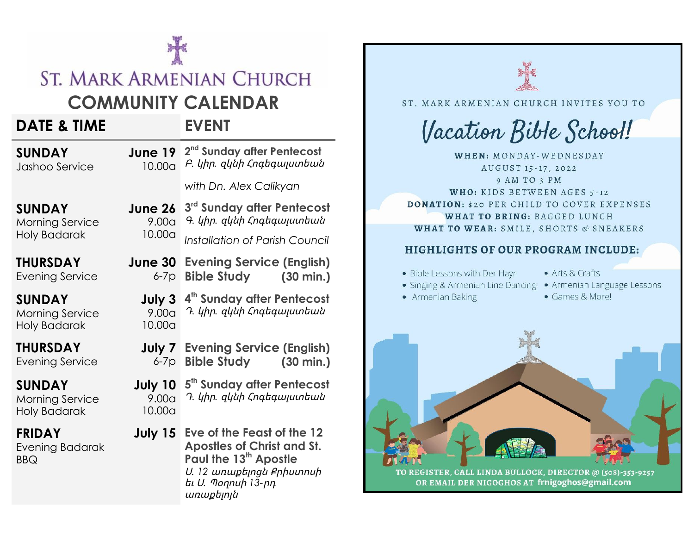# **ST. MARK ARMENIAN CHURCH**

# **COMMUNITY CALENDAR**

# **DATE & TIME EVENT**

**SUNDAY** Jashoo Service

**June 19**  $2^{nd}$  Sunday after Pentecost 10.00a Բ*․* կիր*.* զկնիՀոգեգալստեան *with Dn. Alex Calikyan*

**SUNDAY** Morning Service Holy Badarak

**THURSDAY** Evening Service

**SUNDAY**

Morning Service Holy Badarak

**THURSDAY**

Evening Service

**SUNDAY**

Morning Service Holy Badarak

**FRIDAY**

Evening Badarak BBQ

**June 26** 9.00a 10.00a **3 rd Sunday after Pentecost** Գ*․* կիր*.* զկնիՀոգեգալստեան *Installation of Parish Council*

**June 30 Evening Service (English)** 6-7p **Bible Study (30 min.)**

**July 3 4 th Sunday after Pentecost** 9.00a Դ*․* կիր*.* զկնիՀոգեգալստեան 10.00a

**July 7 Evening Service (English)** 6-7p **Bible Study (30 min.)**

**July 10 5 th Sunday after Pentecost** 9.00a Դ*․* կիր*.* զկնիՀոգեգալստեան 10.00a

**July 15 Eve of the Feast of the 12 Apostles of Christ and St. Paul the 13 th Apostle** Ս*. 12* առաքելոցնՔրիստոսի եւՍ*.* Պօղոսի *13-*րդ առաքելոյն



TO REGISTER, CALL LINDA BULLOCK, DIRECTOR @ (508)-353-9257 OR EMAIL DER NIGOGHOS AT frnigoghos@gmail.com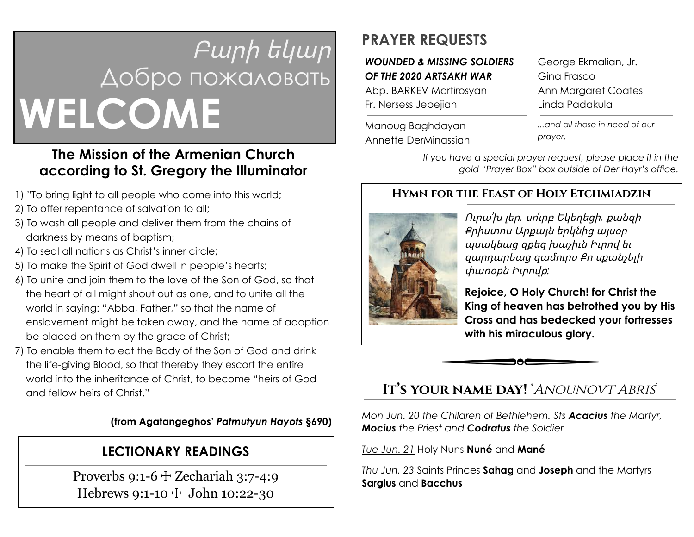# Բարի եկար Добро пожаловать **WELCOME**

# **The Mission of the Armenian Church according to St. Gregory the Illuminator**

- 1) "To bring light to all people who come into this world;
- 2) To offer repentance of salvation to all;
- 3) To wash all people and deliver them from the chains of darkness by means of baptism;
- 4) To seal all nations as Christ's inner circle;
- 5) To make the Spirit of God dwell in people's hearts;
- 6) To unite and join them to the love of the Son of God, so that the heart of all might shout out as one, and to unite all the world in saying: "Abba, Father," so that the name of enslavement might be taken away, and the name of adoption be placed on them by the grace of Christ;
- 7) To enable them to eat the Body of the Son of God and drink the life-giving Blood, so that thereby they escort the entire world into the inheritance of Christ, to become "heirs of God and fellow heirs of Christ."

#### **(from Agatangeghos'** *Patmutyun Hayots* **§690)**

## **LECTIONARY READINGS**

Proverbs 9:1-6  $\pm$  Zechariah 3:7-4:9 Hebrews 9:1-10 ☩ John 10:22-30

# **PRAYER REQUESTS**

#### *WOUNDED & MISSING SOLDIERS OF THE 2020 ARTSAKH WAR*

Abp. BARKEV Martirosyan Fr. Nersess Jebejian

Manoug Baghdayan Annette DerMinassian George Ekmalian, Jr. Gina Frasco Ann Margaret Coates Linda Padakula

*...and all those in need of our prayer.*

*If you have a special prayer request, please place it in the gold "Prayer Box" box outside of Der Hayr's office.*

#### **Hymn for the Feast of Holy Etchmiadzin**



Ուրա՛խ լեր*,* սո՛ւրբ Եկեղեցի*,* քանզի Քրիստոս Արքայն երկնից այսօր պսակեաց զքեզ խաչիւն Իւրով եւ զարդարեաց զամրս Քո սքանչելի փառօքն Իւրովք*:*

**Rejoice, O Holy Church! for Christ the King of heaven has betrothed you by His Cross and has bedecked your fortresses with his miraculous glory.**

**It's your name day!** 'Anounovt Abris'

*Mon Jun. 20 the Children of Bethlehem. Sts Acacius the Martyr, Mocius the Priest and Codratus the Soldier*

*Tue Jun. 21* Holy Nuns **Nuné** and **Mané**

*Thu Jun. 23* Saints Princes **Sahag** and **Joseph** and the Martyrs **Sargius** and **Bacchus**